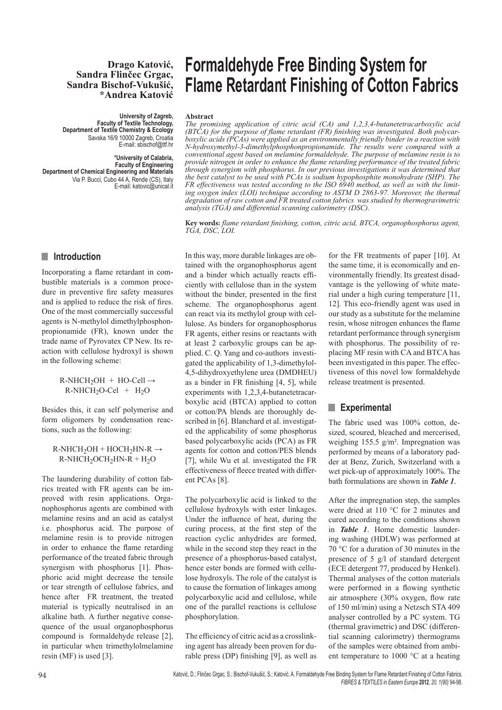#### **Drago Katović, Sandra Flinčec Grgac, Sandra Bischof-Vukušić, \*Andrea Katović**

**University of Zagreb, Faculty of Textile Technology, Department of Textile Chemistry & Ecology** Savska 16/9 10000 Zagreb, Croatia E-mail: sbischof@ttf.hr

**\*University of Calabria, Faculty of Engineering Department of Chemical Engineering and Materials** Via P. Bucci, Cubo 44 A, Rende (CS), Italy E-mail: katovic@unical.it

# $\blacksquare$  Introduction

Incorporating a flame retardant in combustible materials is a common procedure in preventive fire safety measures and is applied to reduce the risk of fires. One of the most commercially successful agents is N-methylol dimethylphosphonpropionamide (FR), known under the trade name of Pyrovatex CP New. Its reaction with cellulose hydroxyl is shown in the following scheme:

> $R-NHCH<sub>2</sub>OH + HO-Cell \rightarrow$  $R-NHCH<sub>2</sub>O-Cell$  +  $H<sub>2</sub>O$

Besides this, it can self polymerise and form oligomers by condensation reactions, such as the following:

#### $R-NHCH_2OH + HOCH_2HN-R \rightarrow$  $R-NHCH<sub>2</sub>OCH<sub>2</sub>HN-R + H<sub>2</sub>O$

The laundering durability of cotton fabrics treated with FR agents can be improved with resin applications. Organophosphorus agents are combined with melamine resins and an acid as catalyst i.e. phosphorus acid. The purpose of melamine resin is to provide nitrogen in order to enhance the flame retarding performance of the treated fabric through synergism with phosphorus [1]. Phosphoric acid might decrease the tensile or tear strength of cellulose fabrics, and hence after FR treatment, the treated material is typically neutralised in an alkaline bath. A further negative consequence of the usual organophosphorus compound is formaldehyde release [2], in particular when trimethylolmelamine resin (MF) is used [3].

# **Formaldehyde Free Binding System for Flame Retardant Finishing of Cotton Fabrics**

#### **Abstract**

*The promising application of citric acid (CA) and 1,2,3,4-butanetetracarboxylic acid (BTCA) for the purpose of flame retardant (FR) finishing was investigated. Both polycarboxylic acids (PCAs) were applied as an environmentally friendly binder in a reaction with N-hydroxymethyl-3-dimethylphosphonpropionamide. The results were compared with a conventional agent based on melamine formaldehyde. The purpose of melamine resin is to provide nitrogen in order to enhance the flame retarding performance of the treated fabric through synergism with phosphorus. In our previous investigations it was determined that the best catalyst to be used with PCAs is sodium hypophosphite monohydrate (SHP). The FR effectiveness was tested according to the ISO 6940 method, as well as with the limiting oxygen index (LOI) technique according to ASTM D 2863-97. Moreover, the thermal degradation of raw cotton and FR treated cotton fabrics was studied by thermogravimetric analysis (TGA) and differential scanning calorimetry (DSC).*

**Key words:** *flame retardant finishing, cotton, citric acid, BTCA, organophosphorus agent, TGA, DSC, LOI.*

In this way, more durable linkages are obtained with the organophosphorus agent and a binder which actually reacts efficiently with cellulose than in the system without the binder, presented in the first scheme. The organophosphorus agent can react via its methylol group with cellulose. As binders for organophosphorus FR agents, either resins or reactants with at least 2 carboxylic groups can be applied. C. Q. Yang and co-authors investigated the applicability of 1,3-dimethylol-4,5-dihydroxyethylene urea (DMDHEU) as a binder in FR finishing [4, 5], while experiments with 1,2,3,4-butanetetracarboxylic acid (BTCA) applied to cotton or cotton/PA blends are thoroughly described in [6]. Blanchard et al. investigated the applicability of some phosphorus based polycarboxylic acids (PCA) as FR agents for cotton and cotton/PES blends [7], while Wu et al. investigated the FR effectiveness of fleece treated with different PCAs [8].

The polycarboxylic acid is linked to the cellulose hydroxyls with ester linkages. Under the influence of heat, during the curing process, at the first step of the reaction cyclic anhydrides are formed, while in the second step they react in the presence of a phosphorus-based catalyst, hence ester bonds are formed with cellulose hydroxyls. The role of the catalyst is to cause the formation of linkages among polycarboxylic acid and cellulose, while one of the parallel reactions is cellulose phosphorylation.

The efficiency of citric acid as a crosslinking agent has already been proven for durable press (DP) finishing [9], as well as for the FR treatments of paper [10]. At the same time, it is economically and environmentally friendly. Its greatest disadvantage is the yellowing of white material under a high curing temperature [11, 12]. This eco-friendly agent was used in our study as a substitute for the melamine resin, whose nitrogen enhances the flame retardant performance through synergism with phosphorus. The possibility of replacing MF resin with CA and BTCA has been investigated in this paper. The effectiveness of this novel low formaldehyde release treatment is presented.

# **n** Experimental

The fabric used was 100% cotton, desized, scoured, bleached and mercerised, weighing 155.5 g/m². Impregnation was performed by means of a laboratory padder at Benz, Zurich, Switzerland with a wet pick-up of approximately 100%. The bath formulations are shown in *Table 1*.

After the impregnation step, the samples were dried at 110 °C for 2 minutes and cured according to the conditions shown in *Table 1*. Home domestic laundering washing (HDLW) was performed at 70 °C for a duration of 30 minutes in the presence of 5 g/l of standard detergent (ECE detergent 77, produced by Henkel). Thermal analyses of the cotton materials were performed in a flowing synthetic air atmosphere (30% oxygen, flow rate of 150 ml/min) using a Netzsch STA 409 analyser controlled by a PC system. TG (thermal gravimetric) and DSC (differential scanning calorimetry) thermograms of the samples were obtained from ambient temperature to 1000 °C at a heating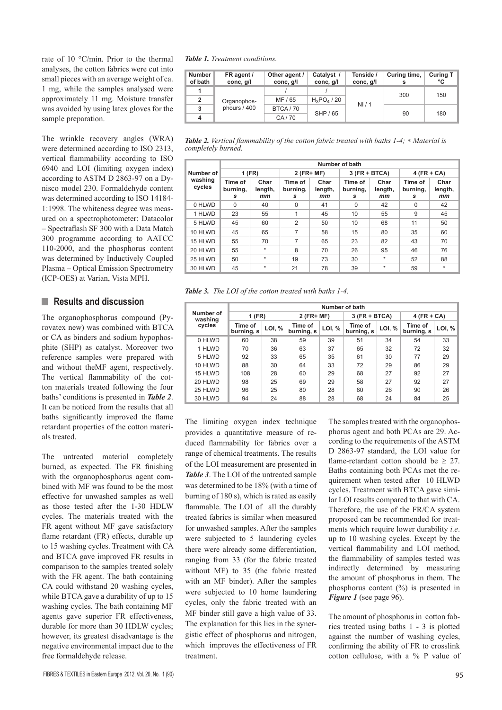rate of 10 °C/min. Prior to the thermal analyses, the cotton fabrics were cut into small pieces with an average weight of ca. 1 mg, while the samples analysed were approximately 11 mg. Moisture transfer was avoided by using latex gloves for the sample preparation.

The wrinkle recovery angles (WRA) were determined according to ISO 2313, vertical flammability according to ISO 6940 and LOI (limiting oxygen index) according to ASTM D 2863-97 on a Dynisco model 230. Formaldehyde content was determined according to ISO 14184- 1:1998. The whiteness degree was measured on a spectrophotometer: Datacolor – Spectraflash SF 300 with a Data Match 300 programme according to AATCC 110-2000, and the phosphorus content was determined by Inductively Coupled Plasma – Optical Emission Spectrometry (ICP-OES) at Varian, Vista MPH.

## **N** Results and discussion

The organophosphorus compound (Pyrovatex new) was combined with BTCA or CA as binders and sodium hypophosphite (SHP) as catalyst. Moreover two reference samples were prepared with and without theMF agent, respectively. The vertical flammability of the cotton materials treated following the four baths' conditions is presented in *Table 2*. It can be noticed from the results that all baths significantly improved the flame retardant properties of the cotton materials treated.

The untreated material completely burned, as expected. The FR finishing with the organophosphorus agent combined with MF was found to be the most effective for unwashed samples as well as those tested after the 1-30 HDLW cycles. The materials treated with the FR agent without MF gave satisfactory flame retardant (FR) effects, durable up to 15 washing cycles. Treatment with CA and BTCA gave improved FR results in comparison to the samples treated solely with the FR agent. The bath containing CA could withstand 20 washing cycles, while BTCA gave a durability of up to 15 washing cycles. The bath containing MF agents gave superior FR effectiveness, durable for more than 30 HDLW cycles; however, its greatest disadvantage is the negative environmental impact due to the free formaldehyde release.

*Table 1. Treatment conditions.*

| <b>Number</b><br>of bath | FR agent /<br>conc, g/l     | Other agent /<br>conc, g/l | Catalyst /<br>conc, g/l | Tenside /<br>conc, g/l | Curing time, | <b>Curing T</b><br>°C |
|--------------------------|-----------------------------|----------------------------|-------------------------|------------------------|--------------|-----------------------|
| 1                        |                             |                            |                         |                        | 300          | 150                   |
| $\overline{2}$           | Organophos-<br>phours / 400 | MF / 65                    | $H_3PO_4/20$            | NI/1                   |              |                       |
| 3                        |                             | BTCA/70                    | SHP / 65                |                        |              | 180                   |
| 4                        |                             | CA/70                      |                         |                        | 90           |                       |

*Table 2. Vertical flammability of the cotton fabric treated with baths 1-4;* ∗ *Material is completely burned.*

|                                | Number of bath           |                       |                          |                       |                          |                       |                          |                       |  |  |
|--------------------------------|--------------------------|-----------------------|--------------------------|-----------------------|--------------------------|-----------------------|--------------------------|-----------------------|--|--|
| Number of<br>washing<br>cycles | $1$ (FR)                 |                       | $2$ (FR+ MF)             |                       | $3$ (FR + BTCA)          |                       | $4$ (FR + CA)            |                       |  |  |
|                                | Time of<br>burning,<br>s | Char<br>length,<br>mm | Time of<br>burning,<br>s | Char<br>length,<br>mm | Time of<br>burning,<br>s | Char<br>length,<br>mm | Time of<br>burning,<br>s | Char<br>length,<br>mm |  |  |
| 0 HLWD                         | $\Omega$                 | 40                    | $\Omega$                 | 41                    | $\Omega$                 | 42                    | $\Omega$                 | 42                    |  |  |
| 1 HLWD                         | 23                       | 55                    | 1                        | 45                    | 10                       | 55                    | 9                        | 45                    |  |  |
| 5 HLWD                         | 45                       | 60                    | $\overline{2}$           | 50                    | 10                       | 68                    | 11                       | 50                    |  |  |
| 10 HLWD                        | 45                       | 65                    | 7                        | 58                    | 15                       | 80                    | 35                       | 60                    |  |  |
| 15 HLWD                        | 55                       | 70                    | 7                        | 65                    | 23                       | 82                    | 43                       | 70                    |  |  |
| 20 HLWD                        | 55                       | $\star$               | 8                        | 70                    | 26                       | 95                    | 46                       | 76                    |  |  |
| 25 HLWD                        | 50                       | $\star$               | 19                       | 73                    | 30                       | $\star$               | 52                       | 88                    |  |  |
| 30 HLWD                        | 45                       | $\star$               | 21                       | 78                    | 39                       | $\star$               | 59                       | $\star$               |  |  |

*Table 3. The LOI of the cotton treated with baths 1-4.*

|                      | Number of bath        |        |                       |        |                       |        |                       |        |  |
|----------------------|-----------------------|--------|-----------------------|--------|-----------------------|--------|-----------------------|--------|--|
| Number of<br>washing | 1 (FR)                |        | $2$ (FR+ MF)          |        | $3$ (FR + BTCA)       |        | $4$ (FR + CA)         |        |  |
| cycles               | Time of<br>burning, s | LOI, % | Time of<br>burning, s | LOI, % | Time of<br>burning, s | LOI, % | Time of<br>burning, s | LOI, % |  |
| 0 HLWD               | 60                    | 38     | 59                    | 39     | 51                    | 34     | 54                    | 33     |  |
| 1 HLWD               | 70                    | 36     | 63                    | 37     | 65                    | 32     | 72                    | 32     |  |
| 5 HLWD               | 92                    | 33     | 65                    | 35     | 61                    | 30     | 77                    | 29     |  |
| 10 HLWD              | 88                    | 30     | 64                    | 33     | 72                    | 29     | 86                    | 29     |  |
| 15 HLWD              | 108                   | 28     | 60                    | 29     | 68                    | 27     | 92                    | 27     |  |
| 20 HLWD              | 98                    | 25     | 69                    | 29     | 58                    | 27     | 92                    | 27     |  |
| 25 HLWD              | 96                    | 25     | 80                    | 28     | 60                    | 26     | 90                    | 26     |  |
| 30 HLWD              | 94                    | 24     | 88                    | 28     | 68                    | 24     | 84                    | 25     |  |

The limiting oxygen index technique provides a quantitative measure of reduced flammability for fabrics over a range of chemical treatments. The results of the LOI measurement are presented in *Table 3*. The LOI of the untreated sample was determined to be 18% (with a time of burning of 180 s), which is rated as easily flammable. The LOI of all the durably treated fabrics is similar when measured for unwashed samples. After the samples were subjected to 5 laundering cycles there were already some differentiation, ranging from 33 (for the fabric treated without MF) to 35 (the fabric treated with an MF binder). After the samples were subjected to 10 home laundering cycles, only the fabric treated with an MF binder still gave a high value of 33. The explanation for this lies in the synergistic effect of phosphorus and nitrogen, which improves the effectiveness of FR treatment.

The samples treated with the organophosphorus agent and both PCAs are 29. According to the requirements of the ASTM D 2863-97 standard, the LOI value for flame-retardant cotton should be  $\geq$  27. Baths containing both PCAs met the requirement when tested after 10 HLWD cycles. Treatment with BTCA gave similar LOI results compared to that with CA. Therefore, the use of the FR/CA system proposed can be recommended for treatments which require lower durability *i.e*. up to 10 washing cycles. Except by the vertical flammability and LOI method, the flammability of samples tested was indirectly determined by measuring the amount of phosphorus in them. The phosphorus content (%) is presented in *Figure 1* (see page 96).

The amount of phosphorus in cotton fabrics treated using baths 1 - 3 is plotted against the number of washing cycles, confirming the ability of FR to crosslink cotton cellulose, with a % P value of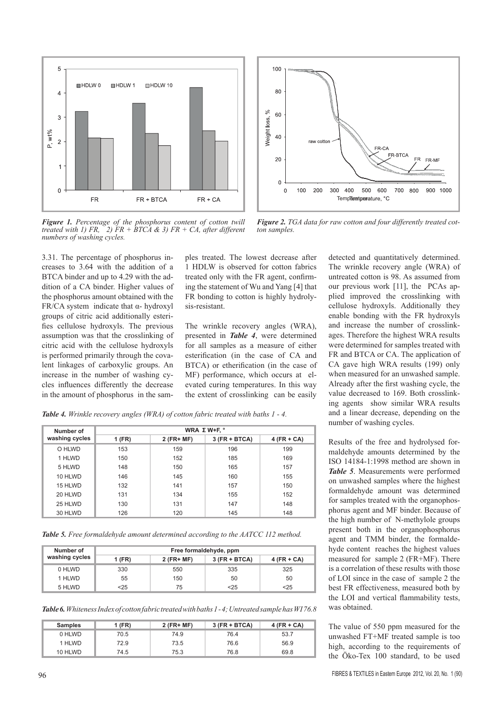

*Figure 1. Percentage of the phosphorus content of cotton twill treated with 1) FR, 2) FR + BTCA & 3) FR + CA, after different numbers of washing cycles.*

3.31. The percentage of phosphorus increases to 3.64 with the addition of a BTCA binder and up to 4.29 with the addition of a CA binder. Higher values of the phosphorus amount obtained with the FR/CA system indicate that  $\alpha$ - hydroxyl groups of citric acid additionally esterifies cellulose hydroxyls. The previous assumption was that the crosslinking of citric acid with the cellulose hydroxyls is performed primarily through the covalent linkages of carboxylic groups. An increase in the number of washing cycles influences differently the decrease in the amount of phosphorus in the sam-

ples treated. The lowest decrease after 1 HDLW is observed for cotton fabrics treated only with the FR agent, confirming the statement of Wu and Yang [4] that FR bonding to cotton is highly hydrolysis-resistant.

The wrinkle recovery angles (WRA), presented in *Table 4*, were determined for all samples as a measure of either esterification (in the case of CA and BTCA) or etherification (in the case of MF) performance, which occurs at elevated curing temperatures. In this way the extent of crosslinking can be easily



*Figure 2. TGA data for raw cotton and four differently treated cotton samples.*

detected and quantitatively determined. The wrinkle recovery angle (WRA) of untreated cotton is 98. As assumed from our previous work [11], the PCAs applied improved the crosslinking with cellulose hydroxyls. Additionally they enable bonding with the FR hydroxyls and increase the number of crosslinkages. Therefore the highest WRA results were determined for samples treated with FR and BTCA or CA. The application of CA gave high WRA results (199) only when measured for an unwashed sample. Already after the first washing cycle, the value decreased to 169. Both crosslinking agents show similar WRA results and a linear decrease, depending on the number of washing cycles.

Results of the free and hydrolysed formaldehyde amounts determined by the ISO 14184-1:1998 method are shown in *Table 5*. Measurements were performed on unwashed samples where the highest formaldehyde amount was determined for samples treated with the organophosphorus agent and MF binder. Because of the high number of N-methylole groups present both in the organophosphorus agent and TMM binder, the formaldehyde content reaches the highest values measured for sample 2 (FR+MF). There is a correlation of these results with those of LOI since in the case of sample 2 the best FR effectiveness, measured both by the LOI and vertical flammability tests, was obtained.

The value of 550 ppm measured for the unwashed FT+MF treated sample is too high, according to the requirements of the Öko-Tex 100 standard, to be used

*Table 4. Wrinkle recovery angles (WRA) of cotton fabric treated with baths 1 - 4.*

| Number of      | WRA ΣW+F, $°$ |              |                 |               |  |  |  |  |
|----------------|---------------|--------------|-----------------|---------------|--|--|--|--|
| washing cycles | 1 (FR)        | $2$ (FR+ MF) | $3$ (FR + BTCA) | $4$ (FR + CA) |  |  |  |  |
| O HLWD         | 153           | 159          | 196             | 199           |  |  |  |  |
| 1 HLWD         | 150           | 152          | 185             | 169           |  |  |  |  |
| 5 HLWD         | 148           | 150          | 165             | 157           |  |  |  |  |
| 10 HLWD        | 146           | 145          | 160             | 155           |  |  |  |  |
| 15 HLWD        | 132           | 141          | 157             | 150           |  |  |  |  |
| 20 HLWD        | 131           | 134          | 155             | 152           |  |  |  |  |
| 25 HLWD        | 130           | 131          | 147             | 148           |  |  |  |  |
| 30 HLWD        | 126           | 120          | 145             | 148           |  |  |  |  |

*Table 5. Free formaldehyde amount determined according to the AATCC 112 method.*

| Number of      | Free formaldehyde, ppm |              |                 |               |  |  |  |
|----------------|------------------------|--------------|-----------------|---------------|--|--|--|
| washing cycles | 1 (FR)                 | $2$ (FR+ MF) | $3$ (FR + BTCA) | $4$ (FR + CA) |  |  |  |
| 0 HLWD         | 330                    | 550          | 335             | 325           |  |  |  |
| 1 HLWD         | 55                     | 150          | 50              | 50            |  |  |  |
| 5 HLWD         | $25$                   | 75           | $<$ 25          | $25$          |  |  |  |

*Table 6. Whiteness Index of cotton fabric treated with baths 1 - 4; Untreated sample has WI 76.8*

| <b>Samples</b> | 1 (FR) | $2$ (FR+ MF) | $3$ (FR + BTCA) | $4$ (FR + CA) |
|----------------|--------|--------------|-----------------|---------------|
| 0 HLWD         | 70.5   | 74.9         | 76.4            | 53.7          |
| 1 HLWD         | 72.9   | 73.5         | 76.6            | 56.9          |
| 10 HLWD        | 74.5   | 75.3         | 76.8            | 69.8          |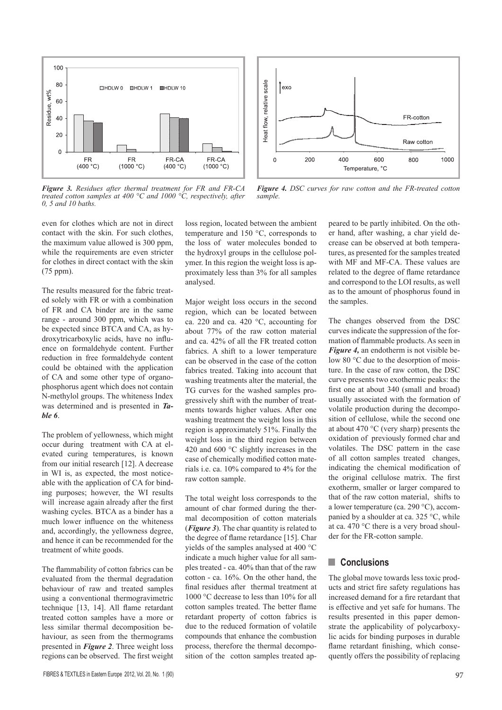

*Figure 3. Residues after thermal treatment for FR and FR-CA treated cotton samples at 400 °C and 1000 °C, respectively, after 0, 5 and 10 baths.*



*Figure 4. DSC curves for raw cotton and the FR-treated cotton sample.*

even for clothes which are not in direct contact with the skin. For such clothes, the maximum value allowed is 300 ppm, while the requirements are even stricter for clothes in direct contact with the skin (75 ppm).

The results measured for the fabric treated solely with FR or with a combination of FR and CA binder are in the same range - around 300 ppm, which was to be expected since BTCA and CA, as hydroxytricarboxylic acids, have no influence on formaldehyde content. Further reduction in free formaldehyde content could be obtained with the application of CA and some other type of organophosphorus agent which does not contain N-methylol groups. The whiteness Index was determined and is presented in *Table 6*.

The problem of yellowness, which might occur during treatment with CA at elevated curing temperatures, is known from our initial research [12]. A decrease in WI is, as expected, the most noticeable with the application of CA for binding purposes; however, the WI results will increase again already after the first washing cycles. BTCA as a binder has a much lower influence on the whiteness and, accordingly, the yellowness degree, and hence it can be recommended for the treatment of white goods.

The flammability of cotton fabrics can be evaluated from the thermal degradation behaviour of raw and treated samples using a conventional thermogravimetric technique [13, 14]. All flame retardant treated cotton samples have a more or less similar thermal decomposition behaviour, as seen from the thermograms presented in *Figure 2*. Three weight loss regions can be observed. The first weight

loss region, located between the ambient temperature and 150 °C, corresponds to the loss of water molecules bonded to the hydroxyl groups in the cellulose polymer. In this region the weight loss is approximately less than 3% for all samples analysed.

Major weight loss occurs in the second region, which can be located between ca. 220 and ca. 420 °C, accounting for about 77% of the raw cotton material and ca. 42% of all the FR treated cotton fabrics. A shift to a lower temperature can be observed in the case of the cotton fabrics treated. Taking into account that washing treatments alter the material, the TG curves for the washed samples progressively shift with the number of treatments towards higher values. After one washing treatment the weight loss in this region is approximately 51%. Finally the weight loss in the third region between 420 and 600 °C slightly increases in the case of chemically modified cotton materials i.e. ca. 10% compared to 4% for the raw cotton sample.

The total weight loss corresponds to the amount of char formed during the thermal decomposition of cotton materials (*Figure 3*). The char quantity is related to the degree of flame retardance [15]. Char yields of the samples analysed at 400 °C indicate a much higher value for all samples treated - ca. 40% than that of the raw cotton - ca. 16%. On the other hand, the final residues after thermal treatment at 1000 °C decrease to less than 10% for all cotton samples treated. The better flame retardant property of cotton fabrics is due to the reduced formation of volatile compounds that enhance the combustion process, therefore the thermal decomposition of the cotton samples treated appeared to be partly inhibited. On the other hand, after washing, a char yield decrease can be observed at both temperatures, as presented for the samples treated with MF and MF-CA. These values are related to the degree of flame retardance and correspond to the LOI results, as well as to the amount of phosphorus found in the samples.

The changes observed from the DSC curves indicate the suppression of the formation of flammable products. As seen in *Figure 4,* an endotherm is not visible below 80 °C due to the desorption of moisture. In the case of raw cotton, the DSC curve presents two exothermic peaks: the first one at about 340 (small and broad) usually associated with the formation of volatile production during the decomposition of cellulose, while the second one at about 470 °C (very sharp) presents the oxidation of previously formed char and volatiles. The DSC pattern in the case of all cotton samples treated changes, indicating the chemical modification of the original cellulose matrix. The first exotherm, smaller or larger compared to that of the raw cotton material, shifts to a lower temperature (ca. 290 °C), accompanied by a shoulder at ca. 325 °C, while at ca. 470 °C there is a very broad shoulder for the FR-cotton sample.

## **n** Conclusions

The global move towards less toxic products and strict fire safety regulations has increased demand for a fire retardant that is effective and yet safe for humans. The results presented in this paper demonstrate the applicability of polycarboxylic acids for binding purposes in durable flame retardant finishing, which consequently offers the possibility of replacing